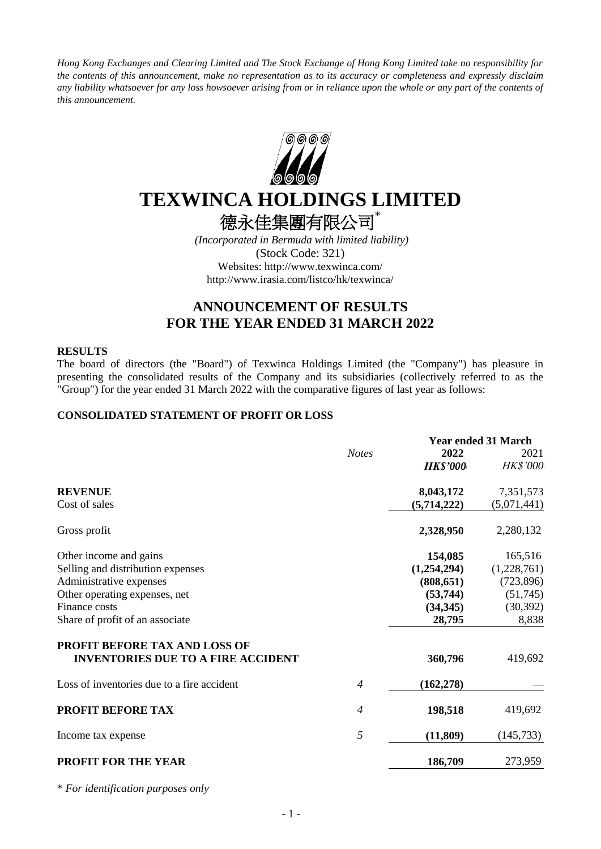*Hong Kong Exchanges and Clearing Limited and The Stock Exchange of Hong Kong Limited take no responsibility for the contents of this announcement, make no representation as to its accuracy or completeness and expressly disclaim any liability whatsoever for any loss howsoever arising from or in reliance upon the whole or any part of the contents of this announcement.*



# **TEXWINCA HOLDINGS LIMITED**

德永佳集團有限公司\*

*(Incorporated in Bermuda with limited liability)* (Stock Code: 321) Websites: http://www.texwinca.com/ http://www.irasia.com/listco/hk/texwinca/

# **ANNOUNCEMENT OF RESULTS FOR THE YEAR ENDED 31 MARCH 2022**

#### **RESULTS**

The board of directors (the "Board") of Texwinca Holdings Limited (the "Company") has pleasure in presenting the consolidated results of the Company and its subsidiaries (collectively referred to as the "Group") for the year ended 31 March 2022 with the comparative figures of last year as follows:

# **CONSOLIDATED STATEMENT OF PROFIT OR LOSS**

|                                            |                | <b>Year ended 31 March</b> |                 |  |  |
|--------------------------------------------|----------------|----------------------------|-----------------|--|--|
|                                            | <b>Notes</b>   | 2022                       | 2021            |  |  |
|                                            |                | <b>HK\$'000</b>            | <b>HK\$'000</b> |  |  |
| <b>REVENUE</b>                             |                | 8,043,172                  | 7,351,573       |  |  |
| Cost of sales                              |                | (5,714,222)                | (5,071,441)     |  |  |
| Gross profit                               |                | 2,328,950                  | 2,280,132       |  |  |
| Other income and gains                     |                | 154,085                    | 165,516         |  |  |
| Selling and distribution expenses          |                | (1,254,294)                | (1,228,761)     |  |  |
| Administrative expenses                    |                | (808, 651)                 | (723, 896)      |  |  |
| Other operating expenses, net              |                | (53, 744)                  | (51,745)        |  |  |
| Finance costs                              |                | (34, 345)                  | (30, 392)       |  |  |
| Share of profit of an associate            |                | 28,795                     | 8,838           |  |  |
| <b>PROFIT BEFORE TAX AND LOSS OF</b>       |                |                            |                 |  |  |
| <b>INVENTORIES DUE TO A FIRE ACCIDENT</b>  |                | 360,796                    | 419,692         |  |  |
| Loss of inventories due to a fire accident | $\overline{4}$ | (162, 278)                 |                 |  |  |
| <b>PROFIT BEFORE TAX</b>                   | $\overline{4}$ | 198,518                    | 419,692         |  |  |
| Income tax expense                         | 5              | (11, 809)                  | (145, 733)      |  |  |
| <b>PROFIT FOR THE YEAR</b>                 |                | 186,709                    | 273,959         |  |  |

\* *For identification purposes only*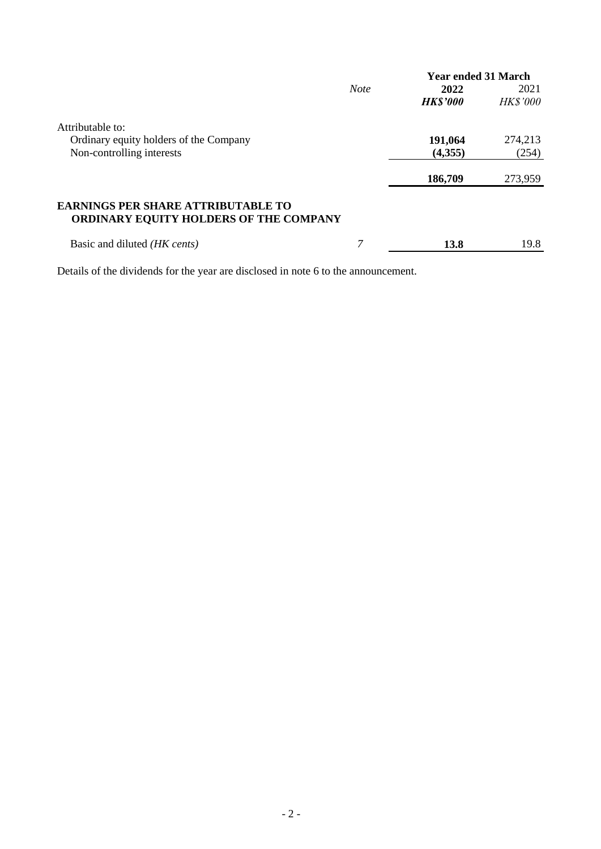|                                                                                            |             | <b>Year ended 31 March</b> |                 |
|--------------------------------------------------------------------------------------------|-------------|----------------------------|-----------------|
|                                                                                            | <b>Note</b> | 2022                       | 2021            |
|                                                                                            |             | <b>HK\$'000</b>            | <b>HK\$'000</b> |
| Attributable to:                                                                           |             |                            |                 |
| Ordinary equity holders of the Company                                                     |             | 191,064                    | 274,213         |
| Non-controlling interests                                                                  |             | (4,355)                    | (254)           |
|                                                                                            |             | 186,709                    | 273,959         |
| <b>EARNINGS PER SHARE ATTRIBUTABLE TO</b><br><b>ORDINARY EQUITY HOLDERS OF THE COMPANY</b> |             |                            |                 |
| Basic and diluted <i>(HK cents)</i>                                                        |             | 13.8                       | 19.8            |

Details of the dividends for the year are disclosed in note 6 to the announcement.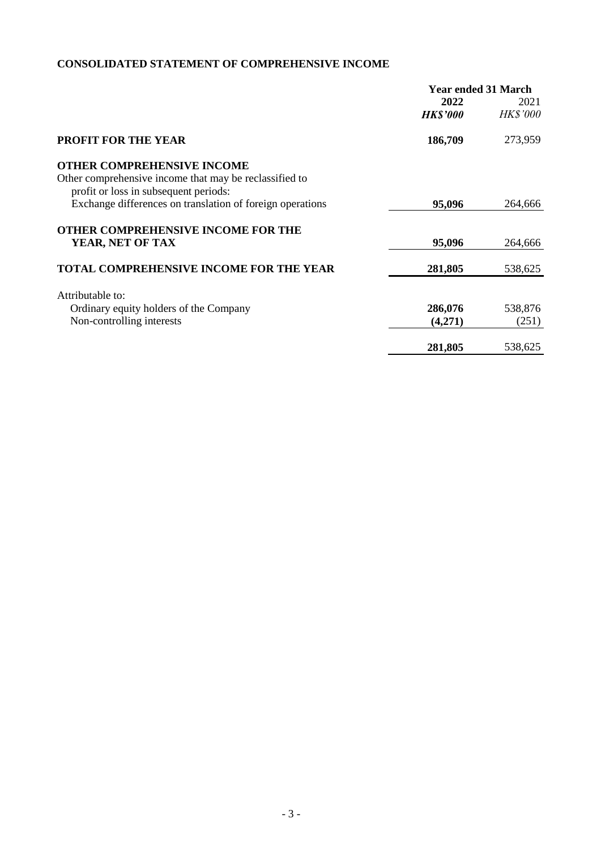# **CONSOLIDATED STATEMENT OF COMPREHENSIVE INCOME**

|                                                           | <b>Year ended 31 March</b> |                 |  |  |
|-----------------------------------------------------------|----------------------------|-----------------|--|--|
|                                                           | 2022                       | 2021            |  |  |
|                                                           | <b>HK\$'000</b>            | <b>HK\$'000</b> |  |  |
| <b>PROFIT FOR THE YEAR</b>                                | 186,709                    | 273,959         |  |  |
| <b>OTHER COMPREHENSIVE INCOME</b>                         |                            |                 |  |  |
| Other comprehensive income that may be reclassified to    |                            |                 |  |  |
| profit or loss in subsequent periods:                     |                            |                 |  |  |
| Exchange differences on translation of foreign operations | 95,096                     | 264,666         |  |  |
| <b>OTHER COMPREHENSIVE INCOME FOR THE</b>                 |                            |                 |  |  |
| YEAR, NET OF TAX                                          | 95,096                     | 264,666         |  |  |
| <b>TOTAL COMPREHENSIVE INCOME FOR THE YEAR</b>            | 281,805                    | 538,625         |  |  |
|                                                           |                            |                 |  |  |
| Attributable to:                                          |                            |                 |  |  |
| Ordinary equity holders of the Company                    | 286,076                    | 538,876         |  |  |
| Non-controlling interests                                 | (4,271)                    | (251)           |  |  |
|                                                           | 281,805                    | 538,625         |  |  |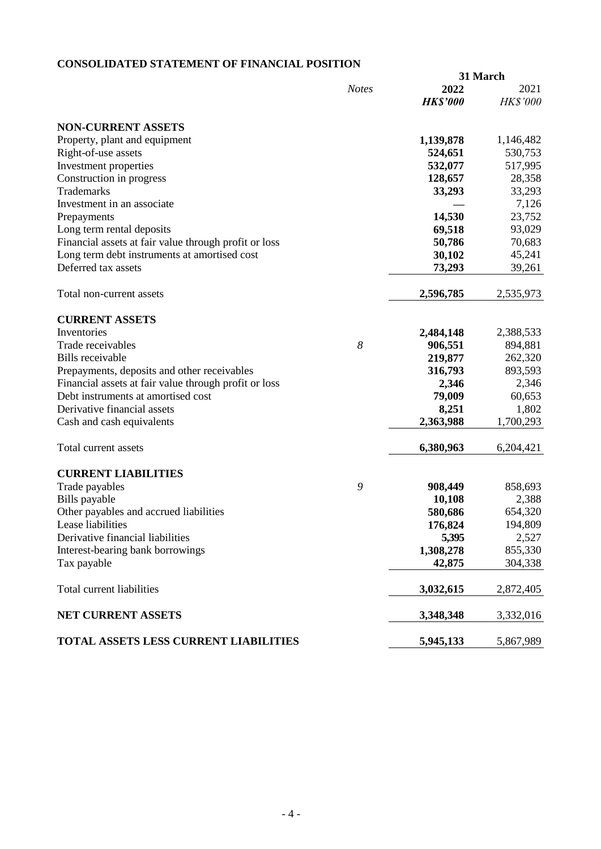# **CONSOLIDATED STATEMENT OF FINANCIAL POSITION**

|                                                       |              |                 | 31 March  |  |
|-------------------------------------------------------|--------------|-----------------|-----------|--|
|                                                       | <b>Notes</b> | 2022            | 2021      |  |
|                                                       |              | <b>HK\$'000</b> | HK\$'000  |  |
| <b>NON-CURRENT ASSETS</b>                             |              |                 |           |  |
| Property, plant and equipment                         |              | 1,139,878       | 1,146,482 |  |
| Right-of-use assets                                   |              | 524,651         | 530,753   |  |
| Investment properties                                 |              | 532,077         | 517,995   |  |
| Construction in progress                              |              | 128,657         | 28,358    |  |
| Trademarks                                            |              | 33,293          | 33,293    |  |
| Investment in an associate                            |              |                 | 7,126     |  |
| Prepayments                                           |              | 14,530          | 23,752    |  |
| Long term rental deposits                             |              | 69,518          | 93,029    |  |
| Financial assets at fair value through profit or loss |              | 50,786          | 70,683    |  |
| Long term debt instruments at amortised cost          |              | 30,102          | 45,241    |  |
| Deferred tax assets                                   |              |                 |           |  |
|                                                       |              | 73,293          | 39,261    |  |
| Total non-current assets                              |              | 2,596,785       | 2,535,973 |  |
| <b>CURRENT ASSETS</b>                                 |              |                 |           |  |
| Inventories                                           |              | 2,484,148       | 2,388,533 |  |
| Trade receivables                                     | 8            | 906,551         | 894,881   |  |
| <b>Bills</b> receivable                               |              | 219,877         | 262,320   |  |
| Prepayments, deposits and other receivables           |              | 316,793         | 893,593   |  |
| Financial assets at fair value through profit or loss |              | 2,346           | 2,346     |  |
| Debt instruments at amortised cost                    |              | 79,009          | 60,653    |  |
| Derivative financial assets                           |              | 8,251           | 1,802     |  |
| Cash and cash equivalents                             |              | 2,363,988       | 1,700,293 |  |
| Total current assets                                  |              | 6,380,963       | 6,204,421 |  |
| <b>CURRENT LIABILITIES</b>                            |              |                 |           |  |
| Trade payables                                        | 9            | 908,449         | 858,693   |  |
| Bills payable                                         |              | 10,108          | 2,388     |  |
| Other payables and accrued liabilities                |              | 580,686         | 654,320   |  |
| Lease liabilities                                     |              | 176,824         | 194,809   |  |
| Derivative financial liabilities                      |              | 5,395           | 2,527     |  |
| Interest-bearing bank borrowings                      |              | 1,308,278       | 855,330   |  |
| Tax payable                                           |              | 42,875          | 304,338   |  |
| Total current liabilities                             |              | 3,032,615       | 2,872,405 |  |
|                                                       |              |                 |           |  |
| NET CURRENT ASSETS                                    |              | 3,348,348       | 3,332,016 |  |
| <b>TOTAL ASSETS LESS CURRENT LIABILITIES</b>          |              | 5,945,133       | 5,867,989 |  |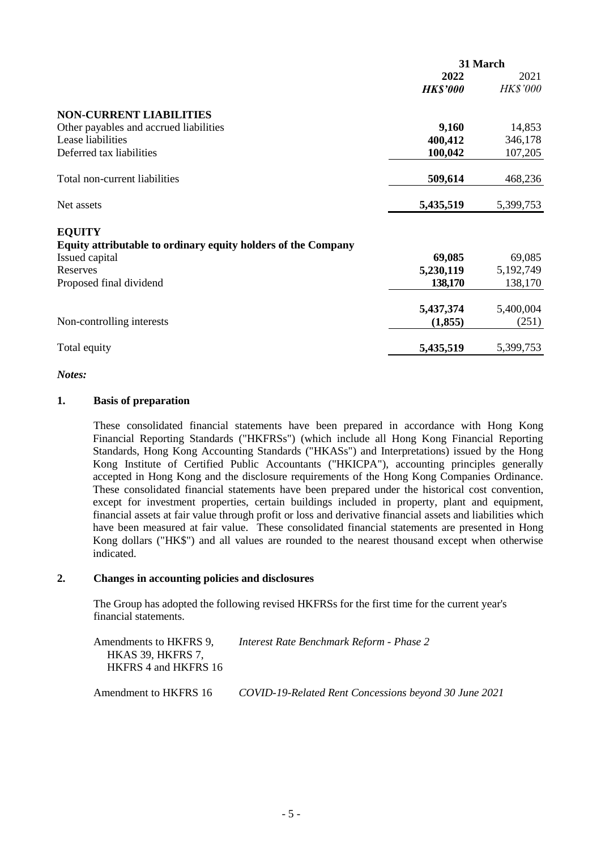|                                                               | 31 March        |                 |  |
|---------------------------------------------------------------|-----------------|-----------------|--|
|                                                               | 2022            | 2021            |  |
|                                                               | <b>HK\$'000</b> | <b>HK\$'000</b> |  |
| <b>NON-CURRENT LIABILITIES</b>                                |                 |                 |  |
| Other payables and accrued liabilities                        | 9,160           | 14,853          |  |
| Lease liabilities                                             | 400,412         | 346,178         |  |
| Deferred tax liabilities                                      | 100,042         | 107,205         |  |
| Total non-current liabilities                                 | 509,614         | 468,236         |  |
| Net assets                                                    | 5,435,519       | 5,399,753       |  |
| <b>EQUITY</b>                                                 |                 |                 |  |
| Equity attributable to ordinary equity holders of the Company |                 |                 |  |
| Issued capital                                                | 69,085          | 69,085          |  |
| Reserves                                                      | 5,230,119       | 5,192,749       |  |
| Proposed final dividend                                       | 138,170         | 138,170         |  |
|                                                               | 5,437,374       | 5,400,004       |  |
| Non-controlling interests                                     | (1,855)         | (251)           |  |
| Total equity                                                  | 5,435,519       | 5,399,753       |  |
|                                                               |                 |                 |  |

#### *Notes:*

#### **1. Basis of preparation**

These consolidated financial statements have been prepared in accordance with Hong Kong Financial Reporting Standards ("HKFRSs") (which include all Hong Kong Financial Reporting Standards, Hong Kong Accounting Standards ("HKASs") and Interpretations) issued by the Hong Kong Institute of Certified Public Accountants ("HKICPA"), accounting principles generally accepted in Hong Kong and the disclosure requirements of the Hong Kong Companies Ordinance. These consolidated financial statements have been prepared under the historical cost convention, except for investment properties, certain buildings included in property, plant and equipment, financial assets at fair value through profit or loss and derivative financial assets and liabilities which have been measured at fair value. These consolidated financial statements are presented in Hong Kong dollars ("HK\$") and all values are rounded to the nearest thousand except when otherwise indicated.

### **2. Changes in accounting policies and disclosures**

The Group has adopted the following revised HKFRSs for the first time for the current year's financial statements.

| Amendments to HKFRS 9. | Interest Rate Benchmark Reform - Phase 2 |
|------------------------|------------------------------------------|
| HKAS 39, HKFRS 7,      |                                          |
| HKFRS 4 and HKFRS 16   |                                          |
|                        |                                          |

Amendment to HKFRS 16 *COVID-19-Related Rent Concessions beyond 30 June 2021*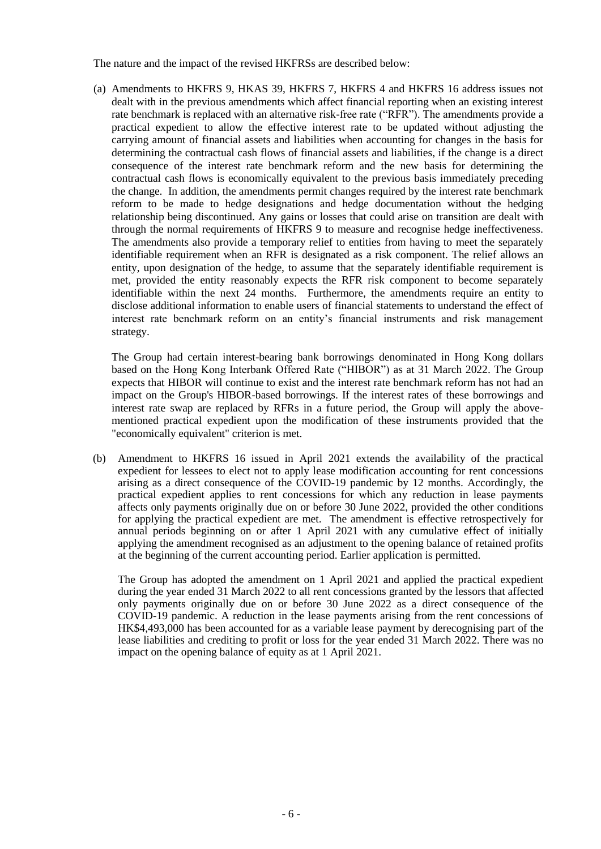The nature and the impact of the revised HKFRSs are described below:

(a) Amendments to HKFRS 9, HKAS 39, HKFRS 7, HKFRS 4 and HKFRS 16 address issues not dealt with in the previous amendments which affect financial reporting when an existing interest rate benchmark is replaced with an alternative risk-free rate ("RFR"). The amendments provide a practical expedient to allow the effective interest rate to be updated without adjusting the carrying amount of financial assets and liabilities when accounting for changes in the basis for determining the contractual cash flows of financial assets and liabilities, if the change is a direct consequence of the interest rate benchmark reform and the new basis for determining the contractual cash flows is economically equivalent to the previous basis immediately preceding the change. In addition, the amendments permit changes required by the interest rate benchmark reform to be made to hedge designations and hedge documentation without the hedging relationship being discontinued. Any gains or losses that could arise on transition are dealt with through the normal requirements of HKFRS 9 to measure and recognise hedge ineffectiveness. The amendments also provide a temporary relief to entities from having to meet the separately identifiable requirement when an RFR is designated as a risk component. The relief allows an entity, upon designation of the hedge, to assume that the separately identifiable requirement is met, provided the entity reasonably expects the RFR risk component to become separately identifiable within the next 24 months. Furthermore, the amendments require an entity to disclose additional information to enable users of financial statements to understand the effect of interest rate benchmark reform on an entity's financial instruments and risk management strategy.

The Group had certain interest-bearing bank borrowings denominated in Hong Kong dollars based on the Hong Kong Interbank Offered Rate ("HIBOR") as at 31 March 2022. The Group expects that HIBOR will continue to exist and the interest rate benchmark reform has not had an impact on the Group's HIBOR-based borrowings. If the interest rates of these borrowings and interest rate swap are replaced by RFRs in a future period, the Group will apply the abovementioned practical expedient upon the modification of these instruments provided that the "economically equivalent" criterion is met.

(b) Amendment to HKFRS 16 issued in April 2021 extends the availability of the practical expedient for lessees to elect not to apply lease modification accounting for rent concessions arising as a direct consequence of the COVID-19 pandemic by 12 months. Accordingly, the practical expedient applies to rent concessions for which any reduction in lease payments affects only payments originally due on or before 30 June 2022, provided the other conditions for applying the practical expedient are met. The amendment is effective retrospectively for annual periods beginning on or after 1 April 2021 with any cumulative effect of initially applying the amendment recognised as an adjustment to the opening balance of retained profits at the beginning of the current accounting period. Earlier application is permitted.

The Group has adopted the amendment on 1 April 2021 and applied the practical expedient during the year ended 31 March 2022 to all rent concessions granted by the lessors that affected only payments originally due on or before 30 June 2022 as a direct consequence of the COVID-19 pandemic. A reduction in the lease payments arising from the rent concessions of HK\$4,493,000 has been accounted for as a variable lease payment by derecognising part of the lease liabilities and crediting to profit or loss for the year ended 31 March 2022. There was no impact on the opening balance of equity as at 1 April 2021.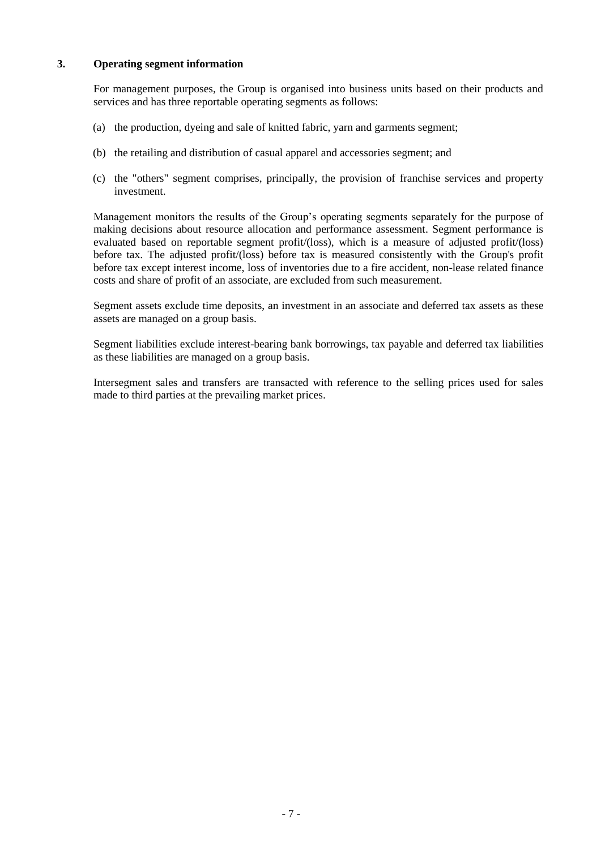# **3. Operating segment information**

For management purposes, the Group is organised into business units based on their products and services and has three reportable operating segments as follows:

- (a) the production, dyeing and sale of knitted fabric, yarn and garments segment;
- (b) the retailing and distribution of casual apparel and accessories segment; and
- (c) the "others" segment comprises, principally, the provision of franchise services and property investment.

Management monitors the results of the Group's operating segments separately for the purpose of making decisions about resource allocation and performance assessment. Segment performance is evaluated based on reportable segment profit/(loss), which is a measure of adjusted profit/(loss) before tax. The adjusted profit/(loss) before tax is measured consistently with the Group's profit before tax except interest income, loss of inventories due to a fire accident, non-lease related finance costs and share of profit of an associate, are excluded from such measurement.

Segment assets exclude time deposits, an investment in an associate and deferred tax assets as these assets are managed on a group basis.

Segment liabilities exclude interest-bearing bank borrowings, tax payable and deferred tax liabilities as these liabilities are managed on a group basis.

Intersegment sales and transfers are transacted with reference to the selling prices used for sales made to third parties at the prevailing market prices.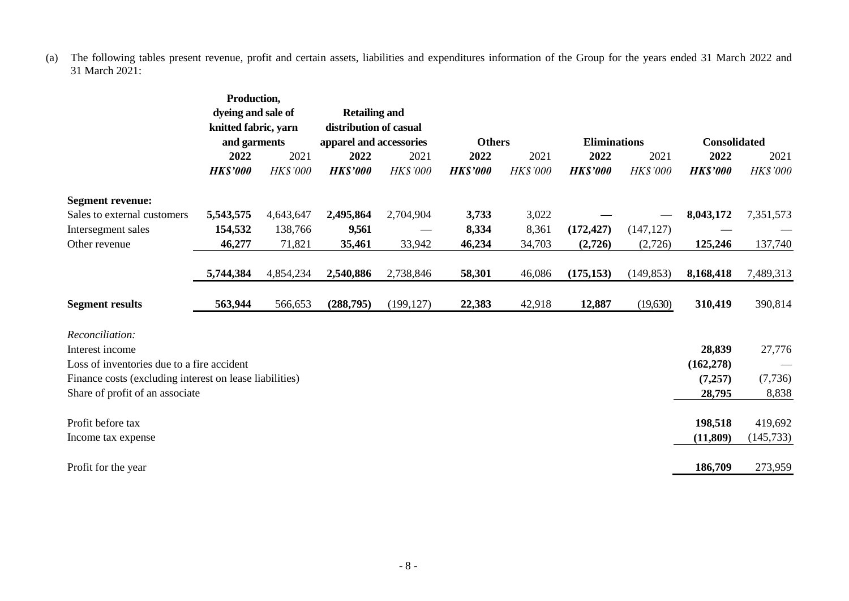(a) The following tables present revenue, profit and certain assets, liabilities and expenditures information of the Group for the years ended 31 March 2022 and 31 March 2021:

|                                                         | Production,<br>dyeing and sale of |           | <b>Retailing and</b><br>distribution of casual<br>knitted fabric, yarn |                             |                 |          |                     |                 |                     |                 |
|---------------------------------------------------------|-----------------------------------|-----------|------------------------------------------------------------------------|-----------------------------|-----------------|----------|---------------------|-----------------|---------------------|-----------------|
|                                                         | and garments                      |           | apparel and accessories                                                |                             | <b>Others</b>   |          | <b>Eliminations</b> |                 | <b>Consolidated</b> |                 |
|                                                         | 2022                              | 2021      | 2022                                                                   | 2021                        | 2022            | 2021     | 2022                | 2021            | 2022                | 2021            |
|                                                         | <b>HK\$'000</b>                   | HK\$'000  | <b>HK\$'000</b>                                                        | <b>HK\$'000</b>             | <b>HK\$'000</b> | HK\$'000 | <b>HK\$'000</b>     | <b>HK\$'000</b> | <b>HK\$'000</b>     | <b>HK\$'000</b> |
| <b>Segment revenue:</b>                                 |                                   |           |                                                                        |                             |                 |          |                     |                 |                     |                 |
| Sales to external customers                             | 5,543,575                         | 4,643,647 | 2,495,864                                                              | 2,704,904                   | 3,733           | 3,022    |                     |                 | 8,043,172           | 7,351,573       |
| Intersegment sales                                      | 154,532                           | 138,766   | 9,561                                                                  | $\overbrace{\hspace{15em}}$ | 8,334           | 8,361    | (172, 427)          | (147, 127)      |                     |                 |
| Other revenue                                           | 46,277                            | 71,821    | 35,461                                                                 | 33,942                      | 46,234          | 34,703   | (2,726)             | (2,726)         | 125,246             | 137,740         |
|                                                         |                                   |           |                                                                        |                             |                 |          |                     |                 |                     |                 |
|                                                         | 5,744,384                         | 4,854,234 | 2,540,886                                                              | 2,738,846                   | 58,301          | 46,086   | (175, 153)          | (149, 853)      | 8,168,418           | 7,489,313       |
| <b>Segment results</b>                                  | 563,944                           | 566,653   | (288,795)                                                              | (199, 127)                  | 22,383          | 42,918   | 12,887              | (19,630)        | 310,419             | 390,814         |
| Reconciliation:                                         |                                   |           |                                                                        |                             |                 |          |                     |                 |                     |                 |
| Interest income                                         |                                   |           |                                                                        |                             |                 |          |                     |                 | 28,839              | 27,776          |
| Loss of inventories due to a fire accident              |                                   |           |                                                                        |                             |                 |          |                     |                 | (162, 278)          |                 |
| Finance costs (excluding interest on lease liabilities) |                                   |           |                                                                        |                             |                 |          |                     |                 | (7,257)             | (7, 736)        |
| Share of profit of an associate                         |                                   |           |                                                                        |                             |                 |          |                     |                 | 28,795              | 8,838           |
|                                                         |                                   |           |                                                                        |                             |                 |          |                     |                 |                     |                 |
| Profit before tax                                       |                                   |           |                                                                        |                             |                 |          |                     |                 | 198,518             | 419,692         |
| Income tax expense                                      |                                   |           |                                                                        |                             |                 |          |                     |                 | (11, 809)           | (145, 733)      |
| Profit for the year                                     |                                   |           |                                                                        |                             |                 |          |                     |                 | 186,709             | 273,959         |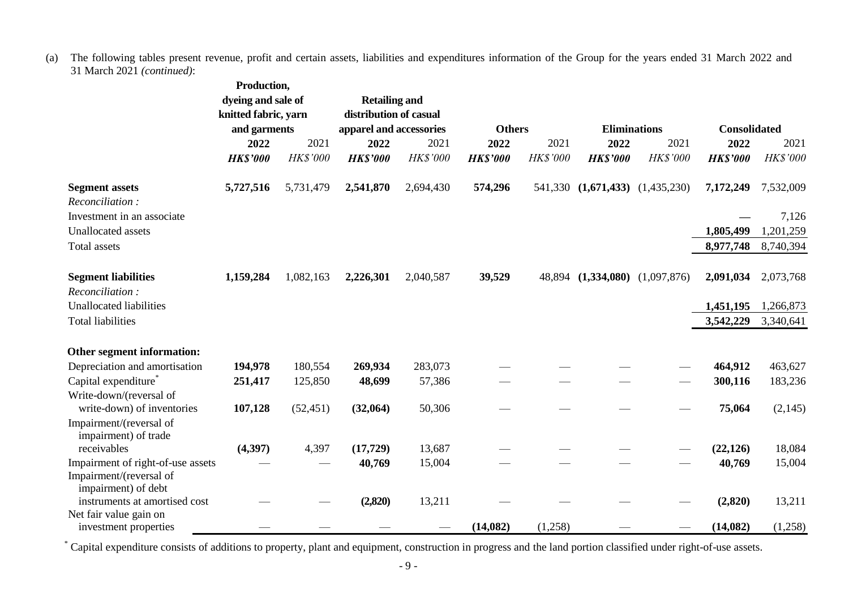(a) The following tables present revenue, profit and certain assets, liabilities and expenditures information of the Group for the years ended 31 March 2022 and 31 March 2021 *(continued)*:

|                                                 | Production,          |           |                         |           |                 |          |                                 |             |                     |                 |
|-------------------------------------------------|----------------------|-----------|-------------------------|-----------|-----------------|----------|---------------------------------|-------------|---------------------|-----------------|
|                                                 | dyeing and sale of   |           | <b>Retailing and</b>    |           |                 |          |                                 |             |                     |                 |
|                                                 | knitted fabric, yarn |           | distribution of casual  |           |                 |          |                                 |             |                     |                 |
|                                                 | and garments         |           | apparel and accessories |           | <b>Others</b>   |          | <b>Eliminations</b>             |             | <b>Consolidated</b> |                 |
|                                                 | 2022                 | 2021      | 2022                    | 2021      | 2022            | 2021     | 2022                            | 2021        | 2022                | 2021            |
|                                                 | <b>HK\$'000</b>      | HK\$'000  | <b>HK\$'000</b>         | HK\$'000  | <b>HK\$'000</b> | HK\$'000 | <b>HK\$'000</b>                 | HK\$'000    | <b>HK\$'000</b>     | <b>HK\$'000</b> |
| <b>Segment assets</b><br>Reconciliation:        | 5,727,516            | 5,731,479 | 2,541,870               | 2,694,430 | 574,296         |          | 541,330 (1,671,433) (1,435,230) |             | 7,172,249           | 7,532,009       |
| Investment in an associate                      |                      |           |                         |           |                 |          |                                 |             |                     | 7,126           |
| <b>Unallocated</b> assets                       |                      |           |                         |           |                 |          |                                 |             | 1,805,499           | 1,201,259       |
| <b>Total assets</b>                             |                      |           |                         |           |                 |          |                                 |             | 8,977,748           | 8,740,394       |
|                                                 |                      |           |                         |           |                 |          |                                 |             |                     |                 |
| <b>Segment liabilities</b><br>Reconciliation:   | 1,159,284            | 1,082,163 | 2,226,301               | 2,040,587 | 39,529          | 48,894   | (1,334,080)                     | (1,097,876) | 2,091,034           | 2,073,768       |
| Unallocated liabilities                         |                      |           |                         |           |                 |          |                                 |             | 1,451,195           | 1,266,873       |
| <b>Total liabilities</b>                        |                      |           |                         |           |                 |          |                                 |             | 3,542,229           | 3,340,641       |
|                                                 |                      |           |                         |           |                 |          |                                 |             |                     |                 |
| Other segment information:                      |                      |           |                         |           |                 |          |                                 |             |                     |                 |
| Depreciation and amortisation                   | 194,978              | 180,554   | 269,934                 | 283,073   |                 |          |                                 |             | 464,912             | 463,627         |
| Capital expenditure*                            | 251,417              | 125,850   | 48,699                  | 57,386    |                 |          |                                 |             | 300,116             | 183,236         |
| Write-down/(reversal of                         |                      |           |                         |           |                 |          |                                 |             |                     |                 |
| write-down) of inventories                      | 107,128              | (52, 451) | (32,064)                | 50,306    |                 |          |                                 |             | 75,064              | (2,145)         |
| Impairment/(reversal of<br>impairment) of trade |                      |           |                         |           |                 |          |                                 |             |                     |                 |
| receivables                                     | (4, 397)             | 4,397     | (17, 729)               | 13,687    |                 |          |                                 |             | (22, 126)           | 18,084          |
| Impairment of right-of-use assets               |                      |           | 40,769                  | 15,004    |                 |          |                                 |             | 40,769              | 15,004          |
| Impairment/(reversal of<br>impairment) of debt  |                      |           |                         |           |                 |          |                                 |             |                     |                 |
| instruments at amortised cost                   |                      |           | (2,820)                 | 13,211    |                 |          |                                 |             | (2,820)             | 13,211          |
| Net fair value gain on                          |                      |           |                         |           |                 |          |                                 |             |                     |                 |
| investment properties                           |                      |           |                         |           | (14,082)        | (1,258)  |                                 |             | (14,082)            | (1,258)         |

\* Capital expenditure consists of additions to property, plant and equipment, construction in progress and the land portion classified under right-of-use assets.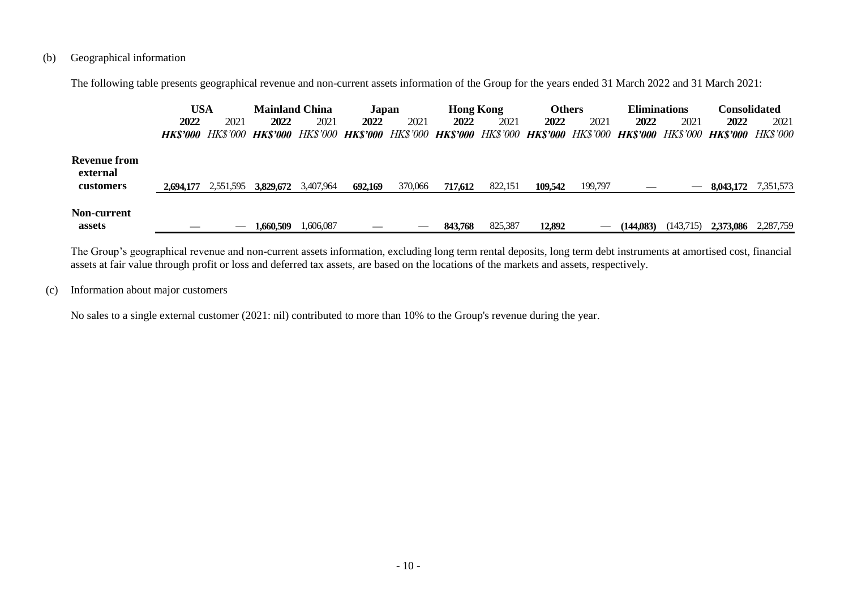# (b) Geographical information

The following table presents geographical revenue and non-current assets information of the Group for the years ended 31 March 2022 and 31 March 2021:

|                                              | USA       |           | <b>Mainland China</b>                                                                                                         |           | Japan   |         | <b>Hong Kong</b> |         | <b>Others</b> |         | <b>Eliminations</b> |           | Consolidated |           |
|----------------------------------------------|-----------|-----------|-------------------------------------------------------------------------------------------------------------------------------|-----------|---------|---------|------------------|---------|---------------|---------|---------------------|-----------|--------------|-----------|
|                                              | 2022      | 2021      | 2022                                                                                                                          | 2021      | 2022    | 2021    | 2022             | 2021    | 2022          | 2021    | 2022                | 2021      | 2022         | 2021      |
|                                              |           |           | HK\$'000 HK\$'000 HK\$'000 HK\$'000 HK\$'000 HK\$'000 HK\$'000 HK\$'000 HK\$'000 HK\$'000 HK\$'000 HK\$'000 HK\$'000 HK\$'000 |           |         |         |                  |         |               |         |                     |           |              |           |
| <b>Revenue from</b><br>external<br>customers | 2.694,177 | 2,551,595 | 3.829.672                                                                                                                     | 3,407,964 | 692,169 | 370,066 | 717,612          | 822,151 | 109.542       | 199,797 |                     | $\sim$    | 8,043,172    | 7,351,573 |
| Non-current<br>assets                        |           | --        | 1,660,509                                                                                                                     | 1,606,087 |         |         | 843,768          | 825,387 | 12.892        |         | (144,083)           | (143,715) | 2,373,086    | 2,287,759 |

The Group's geographical revenue and non-current assets information, excluding long term rental deposits, long term debt instruments at amortised cost, financial assets at fair value through profit or loss and deferred tax assets, are based on the locations of the markets and assets, respectively.

# (c) Information about major customers

No sales to a single external customer (2021: nil) contributed to more than 10% to the Group's revenue during the year.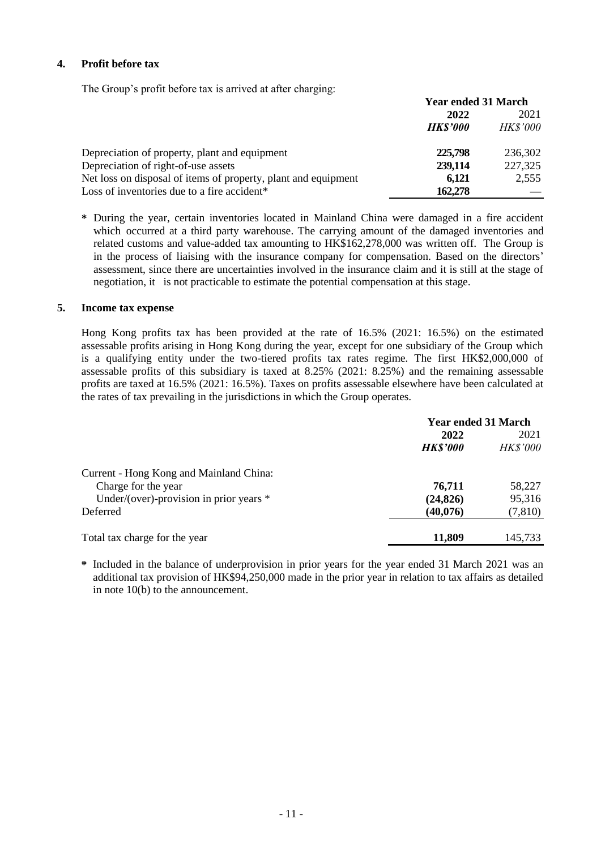# **4. Profit before tax**

The Group's profit before tax is arrived at after charging:

|                                                                | <b>Year ended 31 March</b> |                 |  |
|----------------------------------------------------------------|----------------------------|-----------------|--|
|                                                                | 2022                       | 2021            |  |
|                                                                | <b>HKS'000</b>             | <b>HK\$'000</b> |  |
| Depreciation of property, plant and equipment                  | 225,798                    | 236,302         |  |
| Depreciation of right-of-use assets                            | 239,114                    | 227,325         |  |
| Net loss on disposal of items of property, plant and equipment | 6.121                      | 2,555           |  |
| Loss of inventories due to a fire accident*                    | 162,278                    |                 |  |

**\*** During the year, certain inventories located in Mainland China were damaged in a fire accident which occurred at a third party warehouse. The carrying amount of the damaged inventories and related customs and value-added tax amounting to HK\$162,278,000 was written off. The Group is in the process of liaising with the insurance company for compensation. Based on the directors' assessment, since there are uncertainties involved in the insurance claim and it is still at the stage of negotiation, it is not practicable to estimate the potential compensation at this stage.

# **5. Income tax expense**

Hong Kong profits tax has been provided at the rate of 16.5% (2021: 16.5%) on the estimated assessable profits arising in Hong Kong during the year, except for one subsidiary of the Group which is a qualifying entity under the two-tiered profits tax rates regime. The first HK\$2,000,000 of assessable profits of this subsidiary is taxed at 8.25% (2021: 8.25%) and the remaining assessable profits are taxed at 16.5% (2021: 16.5%). Taxes on profits assessable elsewhere have been calculated at the rates of tax prevailing in the jurisdictions in which the Group operates.

|                                         | <b>Year ended 31 March</b> |                 |  |
|-----------------------------------------|----------------------------|-----------------|--|
|                                         | 2022                       | 2021            |  |
|                                         | <b>HK\$'000</b>            | <b>HK\$'000</b> |  |
| Current - Hong Kong and Mainland China: |                            |                 |  |
| Charge for the year                     | 76,711                     | 58,227          |  |
| Under/(over)-provision in prior years * | (24, 826)                  | 95,316          |  |
| Deferred                                | (40,076)                   | (7, 810)        |  |
| Total tax charge for the year           | 11,809                     | 145,733         |  |

**\*** Included in the balance of underprovision in prior years for the year ended 31 March 2021 was an additional tax provision of HK\$94,250,000 made in the prior year in relation to tax affairs as detailed in note 10(b) to the announcement.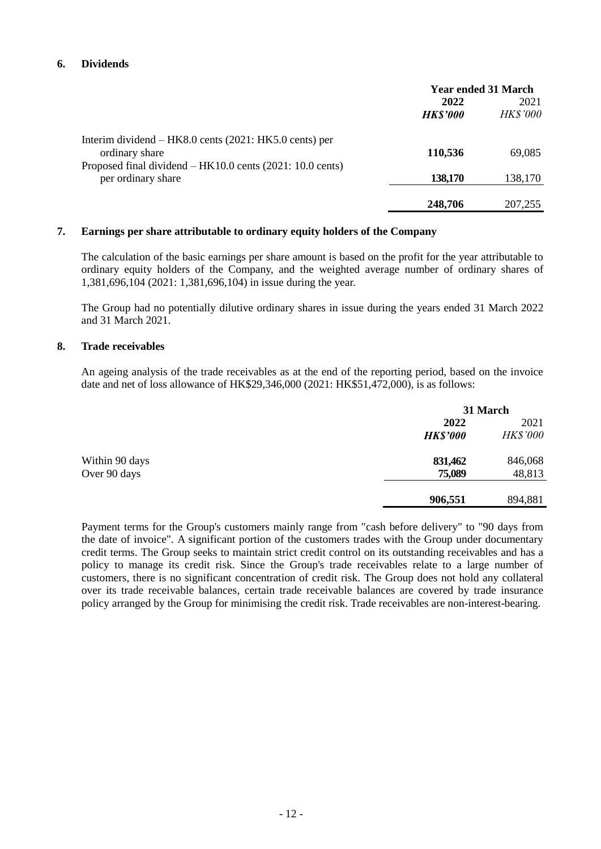# **6. Dividends**

|                                                           | <b>Year ended 31 March</b> |                 |  |
|-----------------------------------------------------------|----------------------------|-----------------|--|
|                                                           | 2022                       | 2021            |  |
|                                                           | <b>HK\$'000</b>            | <b>HK\$'000</b> |  |
| Interim dividend $-$ HK8.0 cents (2021: HK5.0 cents) per  |                            |                 |  |
| ordinary share                                            | 110,536                    | 69,085          |  |
| Proposed final dividend – HK10.0 cents (2021: 10.0 cents) |                            |                 |  |
| per ordinary share                                        | 138,170                    | 138,170         |  |
|                                                           |                            |                 |  |
|                                                           | 248,706                    | 207,255         |  |

### **7. Earnings per share attributable to ordinary equity holders of the Company**

The calculation of the basic earnings per share amount is based on the profit for the year attributable to ordinary equity holders of the Company, and the weighted average number of ordinary shares of 1,381,696,104 (2021: 1,381,696,104) in issue during the year.

The Group had no potentially dilutive ordinary shares in issue during the years ended 31 March 2022 and 31 March 2021.

#### **8. Trade receivables**

An ageing analysis of the trade receivables as at the end of the reporting period, based on the invoice date and net of loss allowance of HK\$29,346,000 (2021: HK\$51,472,000), is as follows:

|                |                 | 31 March        |  |  |
|----------------|-----------------|-----------------|--|--|
|                | 2022            | 2021            |  |  |
|                | <b>HK\$'000</b> | <b>HK\$'000</b> |  |  |
| Within 90 days | 831,462         | 846,068         |  |  |
| Over 90 days   | 75,089          | 48,813          |  |  |
|                | 906,551         | 894,881         |  |  |

Payment terms for the Group's customers mainly range from "cash before delivery" to "90 days from the date of invoice". A significant portion of the customers trades with the Group under documentary credit terms. The Group seeks to maintain strict credit control on its outstanding receivables and has a policy to manage its credit risk. Since the Group's trade receivables relate to a large number of customers, there is no significant concentration of credit risk. The Group does not hold any collateral over its trade receivable balances, certain trade receivable balances are covered by trade insurance policy arranged by the Group for minimising the credit risk. Trade receivables are non-interest-bearing.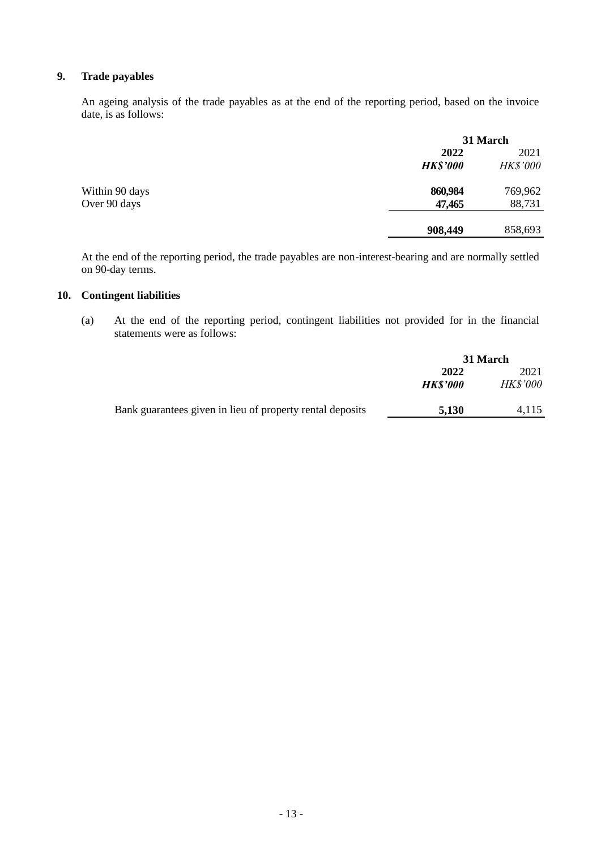# **9. Trade payables**

An ageing analysis of the trade payables as at the end of the reporting period, based on the invoice date, is as follows:

|                |                 | 31 March        |  |  |
|----------------|-----------------|-----------------|--|--|
|                | 2022            | 2021            |  |  |
|                | <b>HK\$'000</b> | <b>HK\$'000</b> |  |  |
| Within 90 days | 860,984         | 769,962         |  |  |
| Over 90 days   | 47,465          | 88,731          |  |  |
|                | 908,449         | 858,693         |  |  |
|                |                 |                 |  |  |

At the end of the reporting period, the trade payables are non-interest-bearing and are normally settled on 90-day terms.

# **10. Contingent liabilities**

(a) At the end of the reporting period, contingent liabilities not provided for in the financial statements were as follows:

|                                                           | 31 March       |                 |
|-----------------------------------------------------------|----------------|-----------------|
|                                                           | 2022           | 2021            |
|                                                           | <b>HKS'000</b> | <b>HK\$'000</b> |
|                                                           |                |                 |
| Bank guarantees given in lieu of property rental deposits | 5.130          | 4.115           |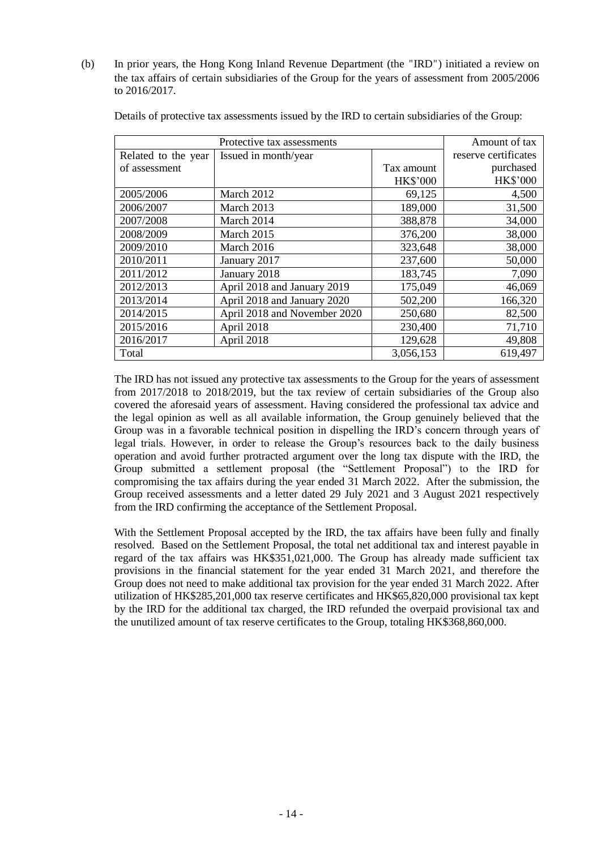(b) In prior years, the Hong Kong Inland Revenue Department (the "IRD") initiated a review on the tax affairs of certain subsidiaries of the Group for the years of assessment from 2005/2006 to 2016/2017.

|                     | Protective tax assessments   |                 | Amount of tax        |
|---------------------|------------------------------|-----------------|----------------------|
| Related to the year | Issued in month/year         |                 | reserve certificates |
| of assessment       |                              | Tax amount      | purchased            |
|                     |                              | <b>HK\$'000</b> | <b>HK\$'000</b>      |
| 2005/2006           | March 2012                   | 69,125          | 4,500                |
| 2006/2007           | March 2013                   | 189,000         | 31,500               |
| 2007/2008           | March 2014                   | 388,878         | 34,000               |
| 2008/2009           | March 2015                   | 376,200         | 38,000               |
| 2009/2010           | March 2016                   | 323,648         | 38,000               |
| 2010/2011           | January 2017                 | 237,600         | 50,000               |
| 2011/2012           | January 2018                 | 183,745         | 7,090                |
| 2012/2013           | April 2018 and January 2019  | 175,049         | 46,069               |
| 2013/2014           | April 2018 and January 2020  | 502,200         | 166,320              |
| 2014/2015           | April 2018 and November 2020 | 250,680         | 82,500               |
| 2015/2016           | April 2018                   | 230,400         | 71,710               |
| 2016/2017           | April 2018                   | 129,628         | 49,808               |
| Total               |                              | 3,056,153       | 619,497              |

Details of protective tax assessments issued by the IRD to certain subsidiaries of the Group:

The IRD has not issued any protective tax assessments to the Group for the years of assessment from 2017/2018 to 2018/2019, but the tax review of certain subsidiaries of the Group also covered the aforesaid years of assessment. Having considered the professional tax advice and the legal opinion as well as all available information, the Group genuinely believed that the Group was in a favorable technical position in dispelling the IRD's concern through years of legal trials. However, in order to release the Group's resources back to the daily business operation and avoid further protracted argument over the long tax dispute with the IRD, the Group submitted a settlement proposal (the "Settlement Proposal") to the IRD for compromising the tax affairs during the year ended 31 March 2022. After the submission, the Group received assessments and a letter dated 29 July 2021 and 3 August 2021 respectively from the IRD confirming the acceptance of the Settlement Proposal.

With the Settlement Proposal accepted by the IRD, the tax affairs have been fully and finally resolved. Based on the Settlement Proposal, the total net additional tax and interest payable in regard of the tax affairs was HK\$351,021,000. The Group has already made sufficient tax provisions in the financial statement for the year ended 31 March 2021, and therefore the Group does not need to make additional tax provision for the year ended 31 March 2022. After utilization of HK\$285,201,000 tax reserve certificates and HK\$65,820,000 provisional tax kept by the IRD for the additional tax charged, the IRD refunded the overpaid provisional tax and the unutilized amount of tax reserve certificates to the Group, totaling HK\$368,860,000.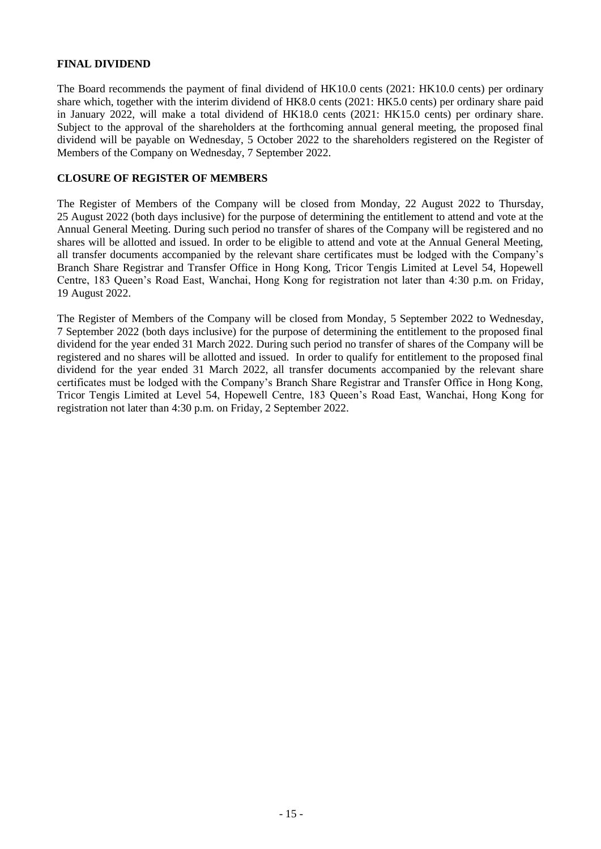# **FINAL DIVIDEND**

The Board recommends the payment of final dividend of HK10.0 cents (2021: HK10.0 cents) per ordinary share which, together with the interim dividend of HK8.0 cents (2021: HK5.0 cents) per ordinary share paid in January 2022, will make a total dividend of HK18.0 cents (2021: HK15.0 cents) per ordinary share. Subject to the approval of the shareholders at the forthcoming annual general meeting, the proposed final dividend will be payable on Wednesday, 5 October 2022 to the shareholders registered on the Register of Members of the Company on Wednesday, 7 September 2022.

### **CLOSURE OF REGISTER OF MEMBERS**

The Register of Members of the Company will be closed from Monday, 22 August 2022 to Thursday, 25 August 2022 (both days inclusive) for the purpose of determining the entitlement to attend and vote at the Annual General Meeting. During such period no transfer of shares of the Company will be registered and no shares will be allotted and issued. In order to be eligible to attend and vote at the Annual General Meeting, all transfer documents accompanied by the relevant share certificates must be lodged with the Company's Branch Share Registrar and Transfer Office in Hong Kong, Tricor Tengis Limited at Level 54, Hopewell Centre, 183 Queen's Road East, Wanchai, Hong Kong for registration not later than 4:30 p.m. on Friday, 19 August 2022.

The Register of Members of the Company will be closed from Monday, 5 September 2022 to Wednesday, 7 September 2022 (both days inclusive) for the purpose of determining the entitlement to the proposed final dividend for the year ended 31 March 2022. During such period no transfer of shares of the Company will be registered and no shares will be allotted and issued. In order to qualify for entitlement to the proposed final dividend for the year ended 31 March 2022, all transfer documents accompanied by the relevant share certificates must be lodged with the Company's Branch Share Registrar and Transfer Office in Hong Kong, Tricor Tengis Limited at Level 54, Hopewell Centre, 183 Queen's Road East, Wanchai, Hong Kong for registration not later than 4:30 p.m. on Friday, 2 September 2022.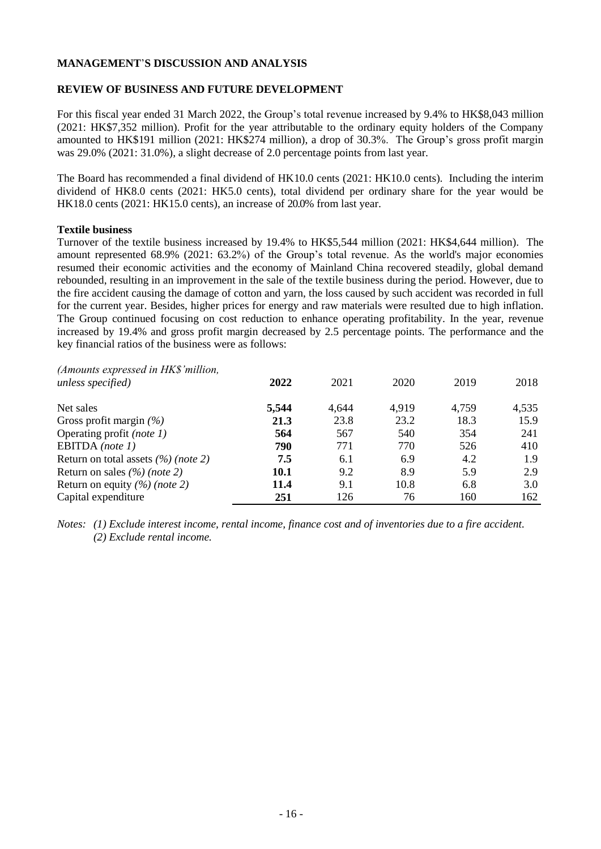#### **MANAGEMENT**'**S DISCUSSION AND ANALYSIS**

### **REVIEW OF BUSINESS AND FUTURE DEVELOPMENT**

For this fiscal year ended 31 March 2022, the Group's total revenue increased by 9.4% to HK\$8,043 million (2021: HK\$7,352 million). Profit for the year attributable to the ordinary equity holders of the Company amounted to HK\$191 million (2021: HK\$274 million), a drop of 30.3%. The Group's gross profit margin was 29.0% (2021: 31.0%), a slight decrease of 2.0 percentage points from last year.

The Board has recommended a final dividend of HK10.0 cents (2021: HK10.0 cents). Including the interim dividend of HK8.0 cents (2021: HK5.0 cents), total dividend per ordinary share for the year would be HK18.0 cents (2021: HK15.0 cents), an increase of 20.0% from last year.

#### **Textile business**

Turnover of the textile business increased by 19.4% to HK\$5,544 million (2021: HK\$4,644 million). The amount represented 68.9% (2021: 63.2%) of the Group's total revenue. As the world's major economies resumed their economic activities and the economy of Mainland China recovered steadily, global demand rebounded, resulting in an improvement in the sale of the textile business during the period. However, due to the fire accident causing the damage of cotton and yarn, the loss caused by such accident was recorded in full for the current year. Besides, higher prices for energy and raw materials were resulted due to high inflation. The Group continued focusing on cost reduction to enhance operating profitability. In the year, revenue increased by 19.4% and gross profit margin decreased by 2.5 percentage points. The performance and the key financial ratios of the business were as follows:

| (Amounts expressed in HK\$'million,<br>unless specified) | 2022        | 2021  | 2020  | 2019  | 2018  |
|----------------------------------------------------------|-------------|-------|-------|-------|-------|
| Net sales                                                | 5,544       | 4,644 | 4,919 | 4,759 | 4,535 |
| Gross profit margin $(\% )$                              | 21.3        | 23.8  | 23.2  | 18.3  | 15.9  |
| Operating profit (note 1)                                | 564         | 567   | 540   | 354   | 241   |
| EBITDA (note $1$ )                                       | 790         | 771   | 770   | 526   | 410   |
| Return on total assets $(\%)(note 2)$                    | 7.5         | 6.1   | 6.9   | 4.2   | 1.9   |
| Return on sales $(\frac{\%}{\%})$ (note 2)               | <b>10.1</b> | 9.2   | 8.9   | 5.9   | 2.9   |
| Return on equity $(\frac{\%}{\%})$ (note 2)              | 11.4        | 9.1   | 10.8  | 6.8   | 3.0   |
| Capital expenditure                                      | 251         | 126   | 76    | 160   | 162   |

*Notes: (1) Exclude interest income, rental income, finance cost and of inventories due to a fire accident. (2) Exclude rental income.*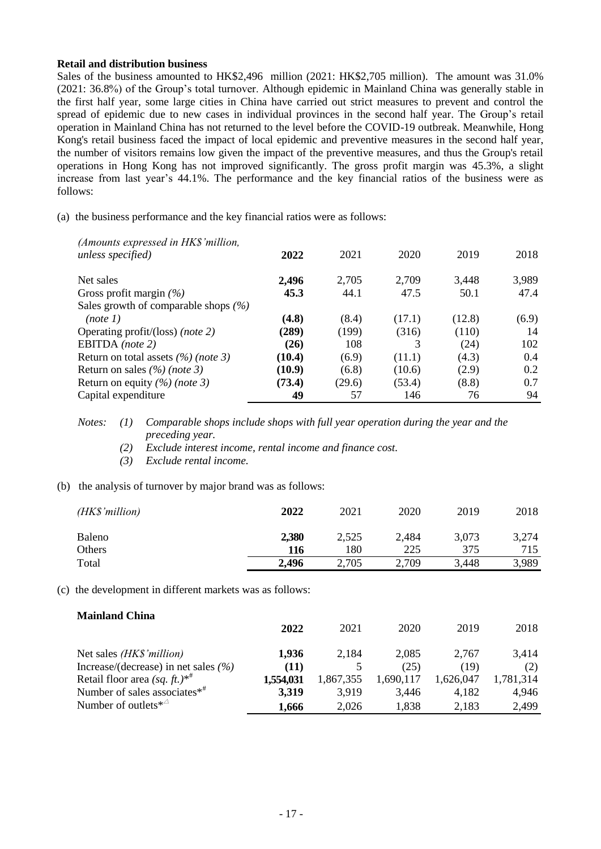#### **Retail and distribution business**

Sales of the business amounted to HK\$2,496 million (2021: HK\$2,705 million). The amount was 31.0% (2021: 36.8%) of the Group's total turnover. Although epidemic in Mainland China was generally stable in the first half year, some large cities in China have carried out strict measures to prevent and control the spread of epidemic due to new cases in individual provinces in the second half year. The Group's retail operation in Mainland China has not returned to the level before the COVID-19 outbreak. Meanwhile, Hong Kong's retail business faced the impact of local epidemic and preventive measures in the second half year, the number of visitors remains low given the impact of the preventive measures, and thus the Group's retail operations in Hong Kong has not improved significantly. The gross profit margin was 45.3%, a slight increase from last year's 44.1%. The performance and the key financial ratios of the business were as follows:

(a) the business performance and the key financial ratios were as follows:

| 3,989<br>2,496<br>2,705<br>2,709<br>3.448<br>Net sales<br>47.4<br>44.1<br>47.5<br>50.1<br>45.3<br>Gross profit margin $(\% )$<br>Sales growth of comparable shops $(\% )$<br>(4.8)<br>(17.1)<br>(8.4)<br>(12.8)<br>(6.9)<br>(note 1)<br>(289)<br>(199)<br>(110)<br>(316)<br>14<br>Operating profit/(loss) (note 2)<br>EBITDA (note 2)<br>108<br>(24)<br>102<br>(26)<br>Return on total assets $(\%)(note 3)$<br>(10.4)<br>(6.9)<br>(4.3)<br>0.4<br>(11.1)<br>(10.9)<br>Return on sales $(\frac{\%}{\%})$ (note 3)<br>(10.6)<br>(2.9)<br>0.2<br>(6.8)<br>(53.4)<br>0.7<br>(73.4)<br>(8.8)<br>Return on equity $(\%)(note 3)$<br>(29.6)<br>Capital expenditure<br>49<br>57<br>146<br>76<br>94 | (Amounts expressed in HK\$'million,<br>unless specified) | 2022 | 2021 | 2020 | 2019 | 2018 |
|---------------------------------------------------------------------------------------------------------------------------------------------------------------------------------------------------------------------------------------------------------------------------------------------------------------------------------------------------------------------------------------------------------------------------------------------------------------------------------------------------------------------------------------------------------------------------------------------------------------------------------------------------------------------------------------------|----------------------------------------------------------|------|------|------|------|------|
|                                                                                                                                                                                                                                                                                                                                                                                                                                                                                                                                                                                                                                                                                             |                                                          |      |      |      |      |      |
|                                                                                                                                                                                                                                                                                                                                                                                                                                                                                                                                                                                                                                                                                             |                                                          |      |      |      |      |      |
|                                                                                                                                                                                                                                                                                                                                                                                                                                                                                                                                                                                                                                                                                             |                                                          |      |      |      |      |      |
|                                                                                                                                                                                                                                                                                                                                                                                                                                                                                                                                                                                                                                                                                             |                                                          |      |      |      |      |      |
|                                                                                                                                                                                                                                                                                                                                                                                                                                                                                                                                                                                                                                                                                             |                                                          |      |      |      |      |      |
|                                                                                                                                                                                                                                                                                                                                                                                                                                                                                                                                                                                                                                                                                             |                                                          |      |      |      |      |      |
|                                                                                                                                                                                                                                                                                                                                                                                                                                                                                                                                                                                                                                                                                             |                                                          |      |      |      |      |      |
|                                                                                                                                                                                                                                                                                                                                                                                                                                                                                                                                                                                                                                                                                             |                                                          |      |      |      |      |      |
|                                                                                                                                                                                                                                                                                                                                                                                                                                                                                                                                                                                                                                                                                             |                                                          |      |      |      |      |      |
|                                                                                                                                                                                                                                                                                                                                                                                                                                                                                                                                                                                                                                                                                             |                                                          |      |      |      |      |      |

*Notes: (1) Comparable shops include shops with full year operation during the year and the preceding year.* 

*(2) Exclude interest income, rental income and finance cost.*

*(3) Exclude rental income.*

(b) the analysis of turnover by major brand was as follows:

| $(HK\$ <sup>'million)</sup> | 2022  | 2021  | 2020  | 2019  | 2018  |
|-----------------------------|-------|-------|-------|-------|-------|
| Baleno                      | 2,380 | 2,525 | 2,484 | 3,073 | 3,274 |
| Others                      | 116   | 180   | 225   | 375   | 715   |
| Total                       | 2,496 | 2,705 | 2,709 | 3,448 | 3,989 |
|                             |       |       |       |       |       |

(c) the development in different markets was as follows:

| <b>Mainland China</b>                       | 2022      | 2021      | 2020      | 2019      | 2018      |
|---------------------------------------------|-----------|-----------|-----------|-----------|-----------|
| Net sales <i>(HK\$'million)</i>             | 1,936     | 2,184     | 2,085     | 2.767     | 3,414     |
| Increase/(decrease) in net sales $(\% )$    | (11)      |           | (25)      | (19)      | (2)       |
| Retail floor area (sq. ft.)**               | 1,554,031 | 1,867,355 | 1,690,117 | 1.626.047 | 1,781,314 |
| Number of sales associates $*$ <sup>#</sup> | 3,319     | 3,919     | 3,446     | 4,182     | 4,946     |
| Number of outlets $*^{\vartriangle}$        | 1,666     | 2,026     | 1,838     | 2,183     | 2,499     |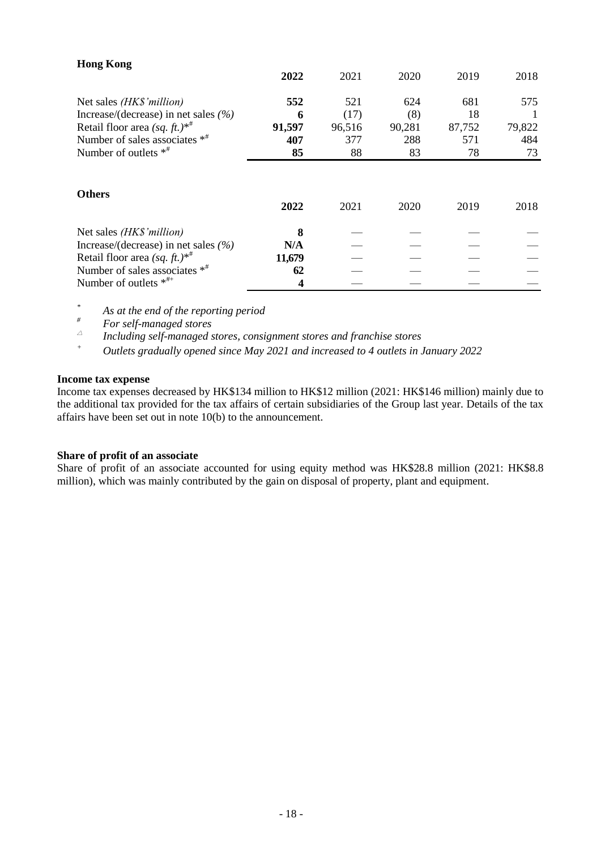| <b>Hong Kong</b>                            |        |        |        |        |        |
|---------------------------------------------|--------|--------|--------|--------|--------|
|                                             | 2022   | 2021   | 2020   | 2019   | 2018   |
| Net sales (HK\$'million)                    | 552    | 521    | 624    | 681    | 575    |
| Increase/(decrease) in net sales $(\% )$    | 6      | (17)   | (8)    | 18     |        |
| Retail floor area (sq. ft.)*                | 91,597 | 96,516 | 90,281 | 87,752 | 79,822 |
| Number of sales associates $*$ <sup>#</sup> | 407    | 377    | 288    | 571    | 484    |
| Number of outlets $*$ <sup>#</sup>          | 85     | 88     | 83     | 78     | 73     |
| <b>Others</b>                               | 2022   | 2021   | 2020   | 2019   | 2018   |
| Net sales (HK\$'million)                    | 8      |        |        |        |        |
| Increase/(decrease) in net sales $(%$ )     | N/A    |        |        |        |        |
| Retail floor area $(sq. ft.)^{*^{\#}}$      | 11,679 |        |        |        |        |
| Number of sales associates $*$ <sup>#</sup> | 62     |        |        |        |        |
| Number of outlets $*^{++}$                  | 4      |        |        |        |        |

*\* As at the end of the reporting period*

*# For self-managed stores*

 $\vartriangle$ *Including self-managed stores, consignment stores and franchise stores*

*<sup>+</sup> Outlets gradually opened since May 2021 and increased to 4 outlets in January 2022*

#### **Income tax expense**

Income tax expenses decreased by HK\$134 million to HK\$12 million (2021: HK\$146 million) mainly due to the additional tax provided for the tax affairs of certain subsidiaries of the Group last year. Details of the tax affairs have been set out in note 10(b) to the announcement.

#### **Share of profit of an associate**

Share of profit of an associate accounted for using equity method was HK\$28.8 million (2021: HK\$8.8 million), which was mainly contributed by the gain on disposal of property, plant and equipment.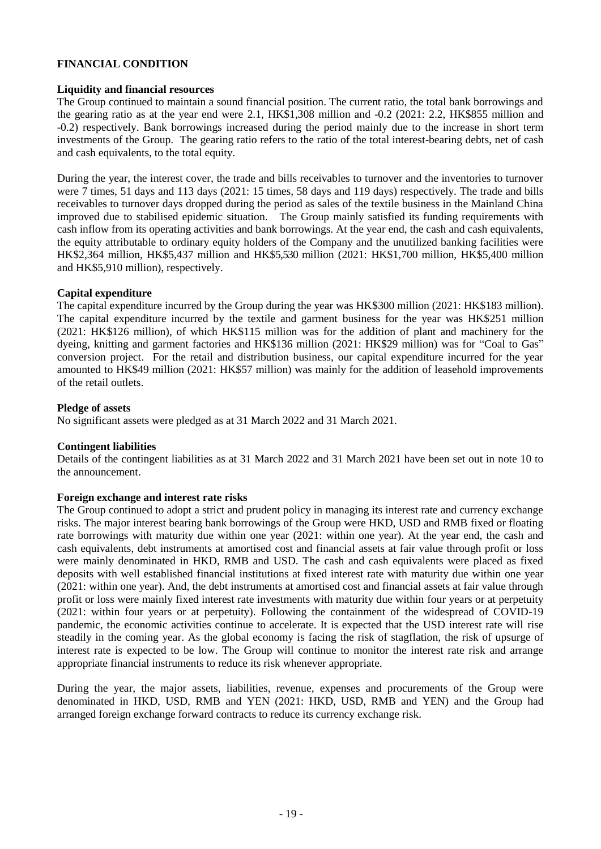### **FINANCIAL CONDITION**

#### **Liquidity and financial resources**

The Group continued to maintain a sound financial position. The current ratio, the total bank borrowings and the gearing ratio as at the year end were 2.1, HK\$1,308 million and -0.2 (2021: 2.2, HK\$855 million and -0.2) respectively. Bank borrowings increased during the period mainly due to the increase in short term investments of the Group. The gearing ratio refers to the ratio of the total interest-bearing debts, net of cash and cash equivalents, to the total equity.

During the year, the interest cover, the trade and bills receivables to turnover and the inventories to turnover were 7 times, 51 days and 113 days (2021: 15 times, 58 days and 119 days) respectively. The trade and bills receivables to turnover days dropped during the period as sales of the textile business in the Mainland China improved due to stabilised epidemic situation. The Group mainly satisfied its funding requirements with cash inflow from its operating activities and bank borrowings. At the year end, the cash and cash equivalents, the equity attributable to ordinary equity holders of the Company and the unutilized banking facilities were HK\$2,364 million, HK\$5,437 million and HK\$5,530 million (2021: HK\$1,700 million, HK\$5,400 million and HK\$5,910 million), respectively.

#### **Capital expenditure**

The capital expenditure incurred by the Group during the year was HK\$300 million (2021: HK\$183 million). The capital expenditure incurred by the textile and garment business for the year was HK\$251 million (2021: HK\$126 million), of which HK\$115 million was for the addition of plant and machinery for the dyeing, knitting and garment factories and HK\$136 million (2021: HK\$29 million) was for "Coal to Gas" conversion project. For the retail and distribution business, our capital expenditure incurred for the year amounted to HK\$49 million (2021: HK\$57 million) was mainly for the addition of leasehold improvements of the retail outlets.

#### **Pledge of assets**

No significant assets were pledged as at 31 March 2022 and 31 March 2021.

#### **Contingent liabilities**

Details of the contingent liabilities as at 31 March 2022 and 31 March 2021 have been set out in note 10 to the announcement.

#### **Foreign exchange and interest rate risks**

The Group continued to adopt a strict and prudent policy in managing its interest rate and currency exchange risks. The major interest bearing bank borrowings of the Group were HKD, USD and RMB fixed or floating rate borrowings with maturity due within one year (2021: within one year). At the year end, the cash and cash equivalents, debt instruments at amortised cost and financial assets at fair value through profit or loss were mainly denominated in HKD, RMB and USD. The cash and cash equivalents were placed as fixed deposits with well established financial institutions at fixed interest rate with maturity due within one year (2021: within one year). And, the debt instruments at amortised cost and financial assets at fair value through profit or loss were mainly fixed interest rate investments with maturity due within four years or at perpetuity (2021: within four years or at perpetuity). Following the containment of the widespread of COVID-19 pandemic, the economic activities continue to accelerate. It is expected that the USD interest rate will rise steadily in the coming year. As the global economy is facing the risk of stagflation, the risk of upsurge of interest rate is expected to be low. The Group will continue to monitor the interest rate risk and arrange appropriate financial instruments to reduce its risk whenever appropriate.

During the year, the major assets, liabilities, revenue, expenses and procurements of the Group were denominated in HKD, USD, RMB and YEN (2021: HKD, USD, RMB and YEN) and the Group had arranged foreign exchange forward contracts to reduce its currency exchange risk.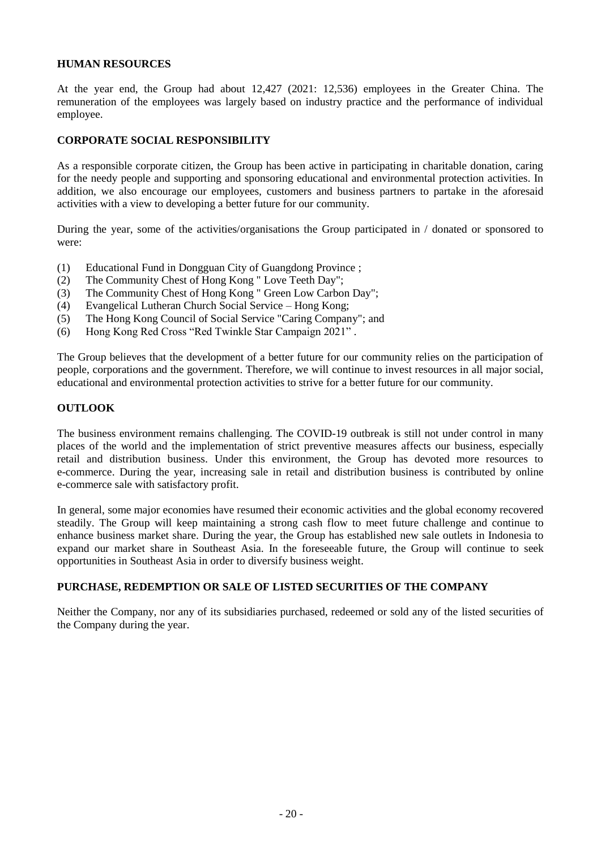#### **HUMAN RESOURCES**

At the year end, the Group had about 12,427 (2021: 12,536) employees in the Greater China. The remuneration of the employees was largely based on industry practice and the performance of individual employee.

# **CORPORATE SOCIAL RESPONSIBILITY**

As a responsible corporate citizen, the Group has been active in participating in charitable donation, caring for the needy people and supporting and sponsoring educational and environmental protection activities. In addition, we also encourage our employees, customers and business partners to partake in the aforesaid activities with a view to developing a better future for our community.

During the year, some of the activities/organisations the Group participated in / donated or sponsored to were:

- (1) Educational Fund in Dongguan City of Guangdong Province ;
- (2) The Community Chest of Hong Kong " Love Teeth Day";
- (3) The Community Chest of Hong Kong " Green Low Carbon Day";
- (4) Evangelical Lutheran Church Social Service Hong Kong;
- (5) The Hong Kong Council of Social Service "Caring Company"; and
- (6) Hong Kong Red Cross "Red Twinkle Star Campaign 2021" .

The Group believes that the development of a better future for our community relies on the participation of people, corporations and the government. Therefore, we will continue to invest resources in all major social, educational and environmental protection activities to strive for a better future for our community.

# **OUTLOOK**

The business environment remains challenging. The COVID-19 outbreak is still not under control in many places of the world and the implementation of strict preventive measures affects our business, especially retail and distribution business. Under this environment, the Group has devoted more resources to e-commerce. During the year, increasing sale in retail and distribution business is contributed by online e-commerce sale with satisfactory profit.

In general, some major economies have resumed their economic activities and the global economy recovered steadily. The Group will keep maintaining a strong cash flow to meet future challenge and continue to enhance business market share. During the year, the Group has established new sale outlets in Indonesia to expand our market share in Southeast Asia. In the foreseeable future, the Group will continue to seek opportunities in Southeast Asia in order to diversify business weight.

# **PURCHASE, REDEMPTION OR SALE OF LISTED SECURITIES OF THE COMPANY**

Neither the Company, nor any of its subsidiaries purchased, redeemed or sold any of the listed securities of the Company during the year.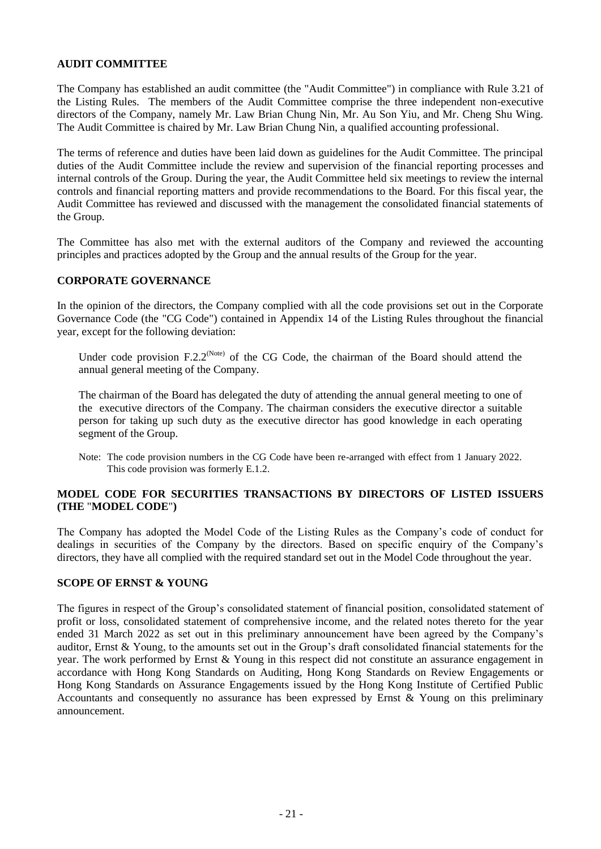# **AUDIT COMMITTEE**

The Company has established an audit committee (the "Audit Committee") in compliance with Rule 3.21 of the Listing Rules. The members of the Audit Committee comprise the three independent non-executive directors of the Company, namely Mr. Law Brian Chung Nin, Mr. Au Son Yiu, and Mr. Cheng Shu Wing. The Audit Committee is chaired by Mr. Law Brian Chung Nin, a qualified accounting professional.

The terms of reference and duties have been laid down as guidelines for the Audit Committee. The principal duties of the Audit Committee include the review and supervision of the financial reporting processes and internal controls of the Group. During the year, the Audit Committee held six meetings to review the internal controls and financial reporting matters and provide recommendations to the Board. For this fiscal year, the Audit Committee has reviewed and discussed with the management the consolidated financial statements of the Group.

The Committee has also met with the external auditors of the Company and reviewed the accounting principles and practices adopted by the Group and the annual results of the Group for the year.

#### **CORPORATE GOVERNANCE**

In the opinion of the directors, the Company complied with all the code provisions set out in the Corporate Governance Code (the "CG Code") contained in Appendix 14 of the Listing Rules throughout the financial year, except for the following deviation:

Under code provision  $F.2.2^{\text{(Note)}}$  of the CG Code, the chairman of the Board should attend the annual general meeting of the Company.

The chairman of the Board has delegated the duty of attending the annual general meeting to one of the executive directors of the Company. The chairman considers the executive director a suitable person for taking up such duty as the executive director has good knowledge in each operating segment of the Group.

Note: The code provision numbers in the CG Code have been re-arranged with effect from 1 January 2022. This code provision was formerly E.1.2.

# **MODEL CODE FOR SECURITIES TRANSACTIONS BY DIRECTORS OF LISTED ISSUERS (THE** "**MODEL CODE**"**)**

The Company has adopted the Model Code of the Listing Rules as the Company's code of conduct for dealings in securities of the Company by the directors. Based on specific enquiry of the Company's directors, they have all complied with the required standard set out in the Model Code throughout the year.

### **SCOPE OF ERNST & YOUNG**

The figures in respect of the Group's consolidated statement of financial position, consolidated statement of profit or loss, consolidated statement of comprehensive income, and the related notes thereto for the year ended 31 March 2022 as set out in this preliminary announcement have been agreed by the Company's auditor, Ernst & Young, to the amounts set out in the Group's draft consolidated financial statements for the year. The work performed by Ernst & Young in this respect did not constitute an assurance engagement in accordance with Hong Kong Standards on Auditing, Hong Kong Standards on Review Engagements or Hong Kong Standards on Assurance Engagements issued by the Hong Kong Institute of Certified Public Accountants and consequently no assurance has been expressed by Ernst & Young on this preliminary announcement.